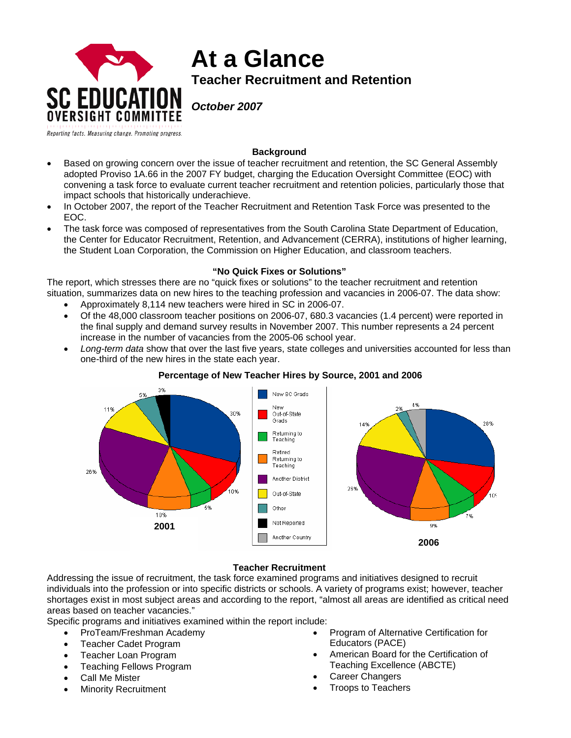

# **At a Glance Teacher Recruitment and Retention**

*October 2007* 

# **Background**

- Based on growing concern over the issue of teacher recruitment and retention, the SC General Assembly adopted Proviso 1A.66 in the 2007 FY budget, charging the Education Oversight Committee (EOC) with convening a task force to evaluate current teacher recruitment and retention policies, particularly those that impact schools that historically underachieve.
- In October 2007, the report of the Teacher Recruitment and Retention Task Force was presented to the EOC.
- The task force was composed of representatives from the South Carolina State Department of Education, the Center for Educator Recruitment, Retention, and Advancement (CERRA), institutions of higher learning, the Student Loan Corporation, the Commission on Higher Education, and classroom teachers.

## **"No Quick Fixes or Solutions"**

The report, which stresses there are no "quick fixes or solutions" to the teacher recruitment and retention situation, summarizes data on new hires to the teaching profession and vacancies in 2006-07. The data show:

- Approximately 8,114 new teachers were hired in SC in 2006-07.
- Of the 48,000 classroom teacher positions on 2006-07, 680.3 vacancies (1.4 percent) were reported in the final supply and demand survey results in November 2007. This number represents a 24 percent increase in the number of vacancies from the 2005-06 school year.
- *Long-term data* show that over the last five years, state colleges and universities accounted for less than one-third of the new hires in the state each year.



## **Percentage of New Teacher Hires by Source, 2001 and 2006**

#### **Teacher Recruitment**

Addressing the issue of recruitment, the task force examined programs and initiatives designed to recruit individuals into the profession or into specific districts or schools. A variety of programs exist; however, teacher shortages exist in most subject areas and according to the report, "almost all areas are identified as critical need areas based on teacher vacancies."

Specific programs and initiatives examined within the report include:

- ProTeam/Freshman Academy
- Teacher Cadet Program
- Teacher Loan Program
- Teaching Fellows Program
- Call Me Mister
- **Minority Recruitment**
- Program of Alternative Certification for Educators (PACE)
- American Board for the Certification of Teaching Excellence (ABCTE)
- Career Changers
- Troops to Teachers